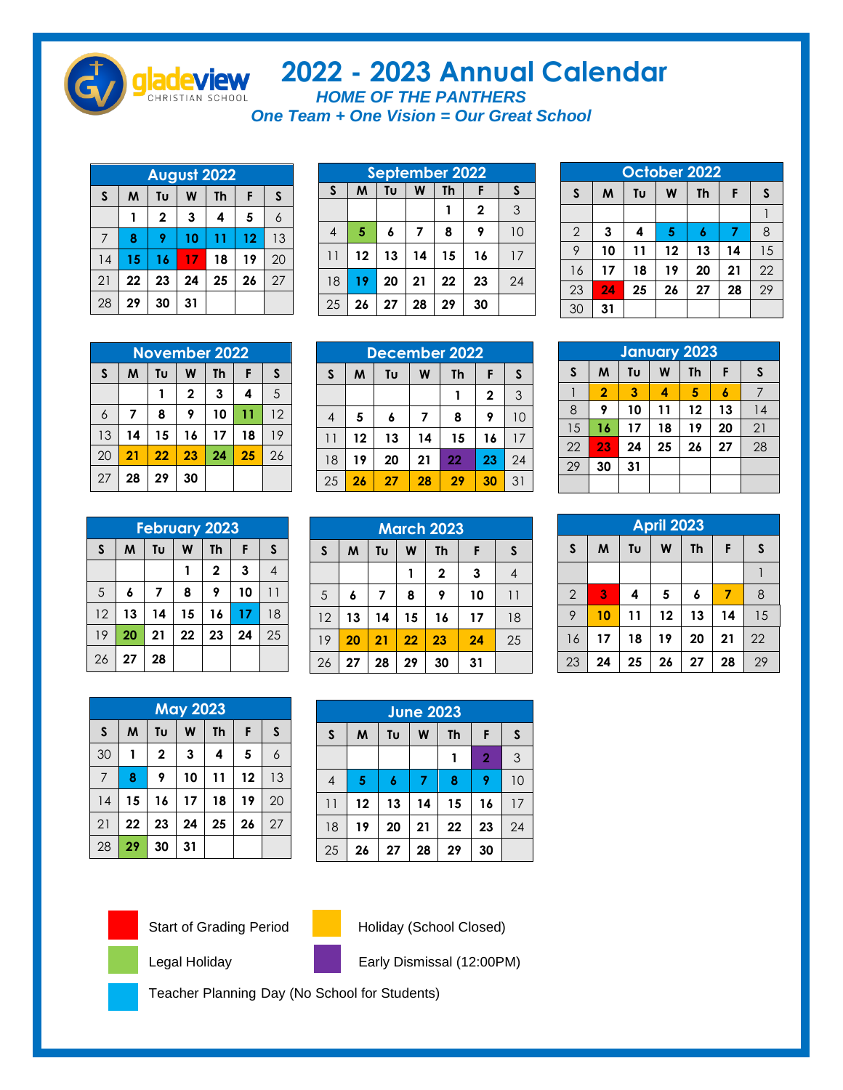

## **- 2023 Annual Calendar**

*HOME OF THE PANTHERS One Team + One Vision = Our Great School*

| <b>August 2022</b> |                         |              |    |    |    |    |  |  |
|--------------------|-------------------------|--------------|----|----|----|----|--|--|
| $\mathsf{s}$       | W<br>Tυ<br>Th<br>M<br>F |              |    |    |    |    |  |  |
|                    |                         | $\mathbf{2}$ | 3  | 4  | 5  | 6  |  |  |
| 7                  | 8                       | 9            | 10 | 11 | 12 | 13 |  |  |
| 14                 | 15                      | 16           | 17 | 18 | 19 | 20 |  |  |
| 21                 | 22                      | 23           | 24 | 25 | 26 | 27 |  |  |
| 28                 | 29                      | 30           | 31 |    |    |    |  |  |

|                | <b>September 2022</b> |                         |    |    |              |    |  |  |  |  |
|----------------|-----------------------|-------------------------|----|----|--------------|----|--|--|--|--|
| $\mathsf{s}$   | M                     | Tu<br>W<br>Th<br>S<br>F |    |    |              |    |  |  |  |  |
|                |                       |                         |    |    | $\mathbf{2}$ | 3  |  |  |  |  |
| $\overline{4}$ | 5                     | 6                       | 7  | 8  | 9            | 10 |  |  |  |  |
| 11             | 12                    | 13                      | 14 | 15 | 16           | 17 |  |  |  |  |
| 18             | 19                    | 20                      | 21 | 22 | 23           | 24 |  |  |  |  |
| 25             | 26                    | 27                      | 28 | 29 | 30           |    |  |  |  |  |

| October 2022   |                                         |    |    |                  |    |    |  |  |  |
|----------------|-----------------------------------------|----|----|------------------|----|----|--|--|--|
| S              | $\mathsf{s}$<br>F<br>Tυ<br>W<br>M<br>Th |    |    |                  |    |    |  |  |  |
|                |                                         |    |    |                  |    |    |  |  |  |
| $\overline{2}$ | 3                                       | 4  | 5  | $\boldsymbol{6}$ | 7  | 8  |  |  |  |
| 9              | 10                                      | 11 | 12 | 13               | 14 | 15 |  |  |  |
| 16             | 17                                      | 18 | 19 | 20               | 21 | 22 |  |  |  |
| 23             | 24                                      | 25 | 26 | 27               | 28 | 29 |  |  |  |
| 30             | 31                                      |    |    |                  |    |    |  |  |  |

|              | <b>November 2022</b>    |    |             |    |    |    |  |  |  |
|--------------|-------------------------|----|-------------|----|----|----|--|--|--|
| $\mathsf{s}$ | Tυ<br>W<br>Th<br>М<br>F |    |             |    |    |    |  |  |  |
|              |                         |    | $\mathbf 2$ | 3  | 4  | 5  |  |  |  |
| 6            | 7                       | 8  | 9           | 10 | 11 | 12 |  |  |  |
| 13           | 14                      | 15 | 16          | 17 | 18 | 19 |  |  |  |
| 20           | 21                      | 22 | 23          | 24 | 25 | 26 |  |  |  |
| 27           | 28                      | 29 | 30          |    |    |    |  |  |  |

| <b>December 2022</b> |                                         |    |    |    |              |    |  |  |
|----------------------|-----------------------------------------|----|----|----|--------------|----|--|--|
| $\mathsf{s}$         | $\mathsf{s}$<br>F<br>M<br>W<br>Tυ<br>Th |    |    |    |              |    |  |  |
|                      |                                         |    |    |    | $\mathbf{2}$ | 3  |  |  |
| 4                    | 5                                       | 6  | 7  | 8  | 9            | 10 |  |  |
| 11                   | 12                                      | 13 | 14 | 15 | 16           | 17 |  |  |
| 18                   | 19                                      | 20 | 21 | 22 | 23           | 24 |  |  |
| 25                   | 26                                      | 27 | 28 | 29 | 30           | 31 |  |  |

| <b>January 2023</b> |                         |    |    |           |    |    |  |  |
|---------------------|-------------------------|----|----|-----------|----|----|--|--|
| $\mathsf{s}$        | M                       | Tυ | W  | <b>Th</b> | F  | S  |  |  |
|                     | $\overline{\mathbf{2}}$ | 3  | 4  | 5         |    | 7  |  |  |
| 8                   | 9                       | 10 | 11 | 12        | 13 | 14 |  |  |
| 15                  | 16                      | 17 | 18 | 19        | 20 | 21 |  |  |
| 22                  | 23                      | 24 | 25 | 26        | 27 | 28 |  |  |
| 29                  | 30                      | 31 |    |           |    |    |  |  |
|                     |                         |    |    |           |    |    |  |  |

| <b>February 2023</b> |    |    |    |              |    |              |  |  |
|----------------------|----|----|----|--------------|----|--------------|--|--|
| $\mathsf{s}$         | M  | Tυ | W  | <b>Th</b>    | F  | $\mathsf{s}$ |  |  |
|                      |    |    |    | $\mathbf{2}$ | 3  |              |  |  |
| 5                    | 6  | 7  | 8  | 9            | 10 | 11           |  |  |
| 12                   | 13 | 14 | 15 | 16           | 17 | 18           |  |  |
| 19                   | 20 | 21 | 22 | 23           | 24 | 25           |  |  |
| 26                   | 27 | 28 |    |              |    |              |  |  |

|              | <b>March 2023</b> |                                |    |                |    |    |  |  |  |  |
|--------------|-------------------|--------------------------------|----|----------------|----|----|--|--|--|--|
| $\mathsf{s}$ | M                 | Tu<br>W<br>S<br><b>Th</b><br>F |    |                |    |    |  |  |  |  |
|              |                   |                                |    | $\overline{2}$ | 3  | 4  |  |  |  |  |
| 5            | 6                 | $\overline{7}$                 | 8  | 9              | 10 | 11 |  |  |  |  |
| 12           | 13                | 14                             | 15 | 16             | 17 | 18 |  |  |  |  |
| 19           | 20                | 21                             | 22 | 23             | 24 | 25 |  |  |  |  |
| 26           | 27                | 28                             | 29 | 30             | 31 |    |  |  |  |  |

| <b>April 2023</b> |                              |    |    |    |    |    |  |  |  |
|-------------------|------------------------------|----|----|----|----|----|--|--|--|
| $\mathsf{s}$      | F<br>W<br>M<br>S<br>Tu<br>Th |    |    |    |    |    |  |  |  |
|                   |                              |    |    |    |    |    |  |  |  |
| $\overline{2}$    | 3                            | 4  | 5  | 6  | 7  | 8  |  |  |  |
| 9                 | 10                           | 11 | 12 | 13 | 14 | 15 |  |  |  |
| 16                | 17                           | 18 | 19 | 20 | 21 | 22 |  |  |  |
| 23                | 24                           | 25 | 26 | 27 | 28 | 29 |  |  |  |

|                | <b>May 2023</b> |              |    |    |    |    |  |  |  |
|----------------|-----------------|--------------|----|----|----|----|--|--|--|
| $\mathsf{s}$   | M               | Tυ           | W  | Th | F  | S  |  |  |  |
| 30             |                 | $\mathbf{2}$ | 3  | 4  | 5  | 6  |  |  |  |
| $\overline{7}$ | 8               | 9            | 10 | 11 | 12 | 13 |  |  |  |
| 14             | 15              | 16           | 17 | 18 | 19 | 20 |  |  |  |
| 21             | 22              | 23           | 24 | 25 | 26 | 27 |  |  |  |
| 28             | 29              | 30           | 31 |    |    |    |  |  |  |

| <b>June 2023</b> |    |                    |    |    |                |    |  |  |
|------------------|----|--------------------|----|----|----------------|----|--|--|
| $\mathsf{s}$     | M  | Tυ<br>F<br>Th<br>W |    |    |                |    |  |  |
|                  |    |                    |    |    | $\overline{2}$ | 3  |  |  |
| 4                | 5  | $\boldsymbol{6}$   | 7  | 8  | 9              | 10 |  |  |
| 11               | 12 | 13                 | 14 | 15 | 16             | 17 |  |  |
| 18               | 19 | 20                 | 21 | 22 | 23             | 24 |  |  |
| 25               | 26 | 27                 | 28 | 29 | 30             |    |  |  |



Start of Grading Period Holiday (School Closed)

Legal Holiday **Early Dismissal (12:00PM)** 

Teacher Planning Day (No School for Students)